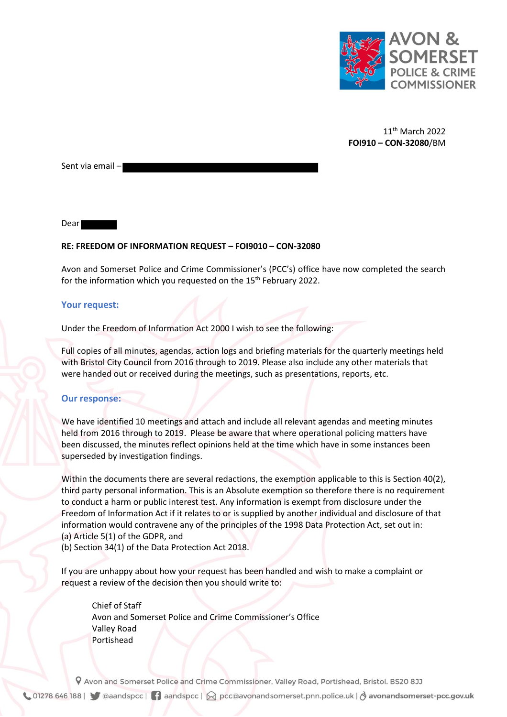

11th March 2022 **FOI910 – CON-32080**/BM

Sent via email –

Dear

## **RE: FREEDOM OF INFORMATION REQUEST – FOI9010 – CON-32080**

Avon and Somerset Police and Crime Commissioner's (PCC's) office have now completed the search for the information which you requested on the 15<sup>th</sup> February 2022.

## **Your request:**

Under the Freedom of Information Act 2000 I wish to see the following:

Full copies of all minutes, agendas, action logs and briefing materials for the quarterly meetings held with Bristol City Council from 2016 through to 2019. Please also include any other materials that were handed out or received during the meetings, such as presentations, reports, etc.

## **Our response:**

We have identified 10 meetings and attach and include all relevant agendas and meeting minutes held from 2016 through to 2019. Please be aware that where operational policing matters have been discussed, the minutes reflect opinions held at the time which have in some instances been superseded by investigation findings.

Within the documents there are several redactions, the exemption applicable to this is Section 40(2), third party personal information. This is an Absolute exemption so therefore there is no requirement to conduct a harm or public interest test. Any information is exempt from disclosure under the Freedom of Information Act if it relates to or is supplied by another individual and disclosure of that information would contravene any of the principles of the 1998 Data Protection Act, set out in: (a) Article 5(1) of the GDPR, and

(b) Section 34(1) of the Data Protection Act 2018.

If you are unhappy about how your request has been handled and wish to make a complaint or request a review of the decision then you should write to:

Chief of Staff Avon and Somerset Police and Crime Commissioner's Office Valley Road Portishead

9 Avon and Somerset Police and Crime Commissioner, Valley Road, Portishead, Bristol. BS20 8JJ

↓ 01278 646 188 | ● ◎aandspcc | ● aandspcc |  $\bigotimes$  pcc@avonandsomerset.pnn.police.uk | ∂ avonandsomerset-pcc.gov.uk